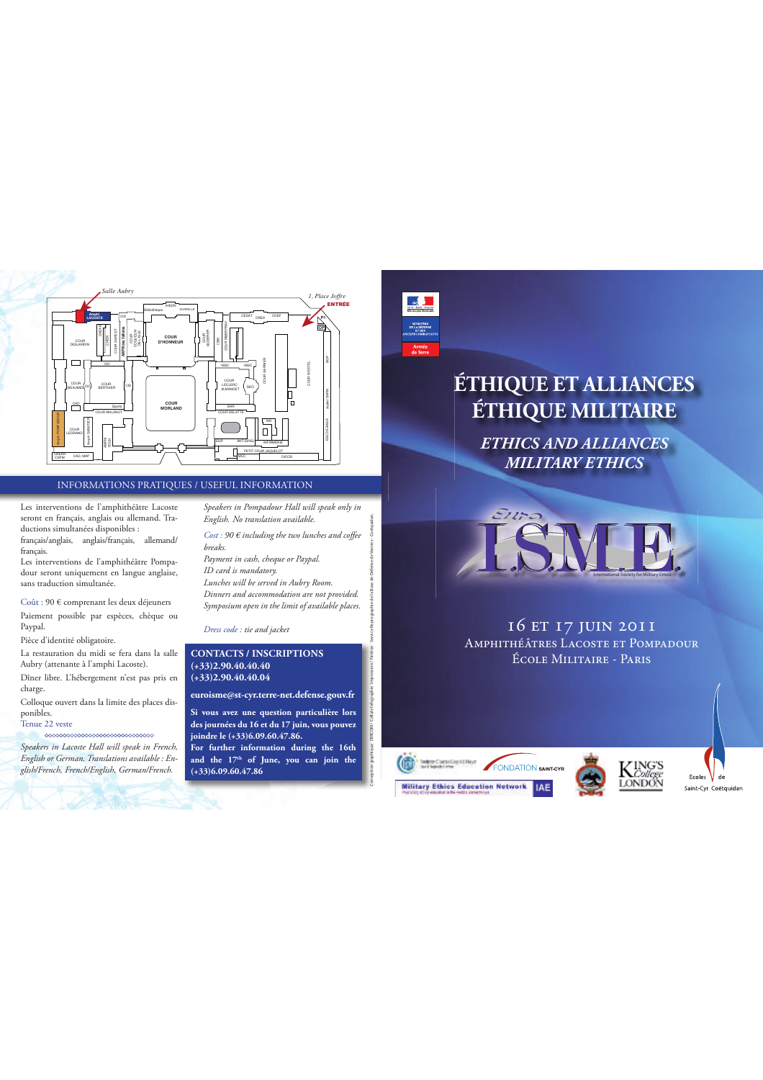

## INFORMATIONS PRATIQUES / USEFUL INFORMATION

Les interventions de l'amphithéâtre Lacoste seront en français, anglais ou allemand. Traductions simultanées disponibles :

français/anglais, anglais/français, allemand/ français.

Les interventions de l'amphithéâtre Pompadour seront uniquement en langue anglaise, sans traduction simultanée.

Coût : 90 € comprenant les deux déjeuners Paiement possible par espèces, chèque ou Paypal.

Pièce d'identité obligatoire.

La restauration du midi se fera dans la salle Aubry (attenante à l'amphi Lacoste). Dîner libre. L'hébergement n'est pas pris en

charge.

Colloque ouvert dans la limite des places disponibles.

## Tenue 22 veste

*Speakers in Lacoste Hall will speak in French, English or German. Translations available : English/French, French/English, German/French.*

*Speakers in Pompadour Hall will speak only in English. No translation available.*  $\mathit{Cost}: 90$   $\epsilon$  including the two lunches and coffee

*breaks. Payment in cash, cheque or Paypal.* 

*ID card is mandatory. Lunches will be served in Aubry Room. Dinners and accommodation are not provided. Symposium open in the limit of available places.*

## *Dress code : tie and jacket*

## **CONTACTS / INSCRIPTIONS (+33)2.90.40.40.40 (+33)2.90.40.40.04**

**euroisme@st-cyr.terre-net.defense.gouv.fr Si vous avez une question particulière lors des journées du 16 et du 17 juin, vous pouvez**  Conception graphique : DIRCOM / Cellule Infographie. Impression / Finition : Service Reprographie de la Base de Défense de Vannes - Coëtquidan.

**joindre le (+33)6.09.60.47.86. For further information during the 16th and the 17th of June, you can join the (+33)6.09.60.47.86**



# **ÉTHIQUE ET ALLIANCES ÉTHIQUE MILITAIRE**

*ETHICS AND ALLIANCES MILITARY ETHICS*



16 et 17 juin 2011 Amphithéâtres Lacoste et Pompadour École Militaire - Paris





Ecoles  $\bigvee$  de Saint-Cyr Coëtquidar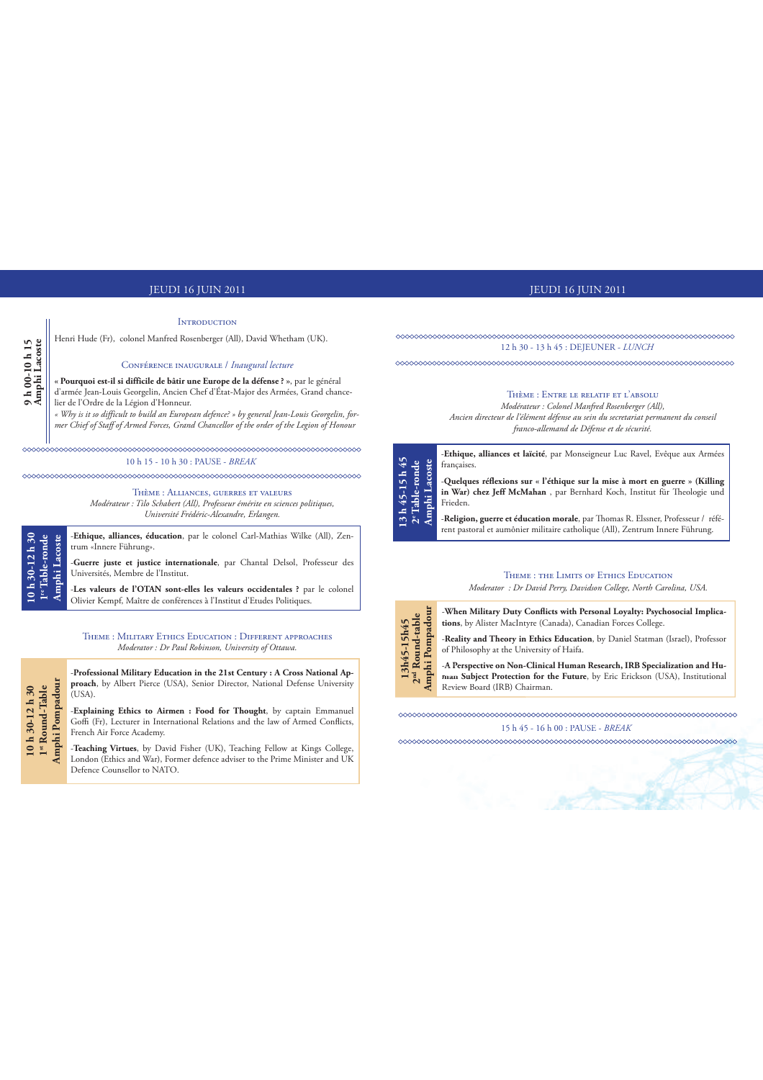## JEUDI 16 JUIN 2011 JEUDI 16 JUIN 2011

### **INTRODUCTION**

Henri Hude (Fr), colonel Manfred Rosenberger (All), David Whetham (UK).

### Conférence inaugurale / *Inaugural lecture*

**« Pourquoi est-il si difficile de bâtir une Europe de la défense ? »**, par le général d'armée Jean-Louis Georgelin, Ancien Chef d'État-Major des Armées, Grand chancelier de l'Ordre de la Légion d'Honneur. **Amphi Lacoste**

*« Why is it so difficult to build an European defence? » by general Jean-Louis Georgelin, former Chief of Sta\$ of Armed Forces, Grand Chancellor of the order of the Legion of Honour*

10 h 15 - 10 h 30 : PAUSE - *BREAK*

Thème : Alliances, guerres et valeurs *Modérateur : Tilo Schabert (All), Professeur émérite en sciences politiques, Université Frédéric-Alexandre, Erlangen.*

-**Ethique, alliances, éducation**, par le colonel Carl-Mathias Wilke (All), Zentrum «Innere Führung». **1re Table-ronde Amphi Lacoste**

-**Guerre juste et justice internationale**, par Chantal Delsol, Professeur des Universités, Membre de l'Institut.

-**Les valeurs de l'OTAN sont-elles les valeurs occidentales ?** par le colonel Olivier Kempf, Maître de conférences à l'Institut d'Etudes Politiques.

Theme : Military Ethics Education : Different approaches *Moderator : Dr Paul Robinson, University of Ottawa.*

-**Professional Military Education in the 21st Century : A Cross National Approach**, by Albert Pierce (USA), Senior Director, National Defense University  $\overline{L}$ (USA).

-**Explaining Ethics to Airmen : Food for Thought**, by captain Emmanuel Goffi (Fr), Lecturer in International Relations and the law of Armed Conflicts, French Air Force Academy.

-**Teaching Virtues**, by David Fisher (UK), Teaching Fellow at Kings College, London (Ethics and War), Former defence adviser to the Prime Minister and UK Defence Counsellor to NATO.

<u>www.www.www.www.www.</u>ww 12 h 30 - 13 h 45 : DEJEUNER - *LUNCH*



*Modérateur : Colonel Manfred Rosenberger (All), Ancien directeur de l'élément défense au sein du secretariat permanent du conseil franco-allemand de Défense et de sécurité.*



-**Ethique, alliances et laïcité**, par Monseigneur Luc Ravel, Evêque aux Armées françaises. -**Quelques réflexions sur « l'éthique sur la mise à mort en guerre » (Killing**  in War) chez Jeff McMahan , par Bernhard Koch, Institut für Theologie und Frieden.

-**Religion, guerre et éducation morale**, par Thomas R. Elssner, Professeur / référent pastoral et aumônier militaire catholique (All), Zentrum Innere Führung.

## THEME : THE LIMITS OF ETHICS EDUCATION

*Moderator : Dr David Perry, Davidson College, North Carolina, USA.*



15 h 45 - 16 h 00 : PAUSE - *BREAK*

**Amphi Pompadour**

**10 h 30-12 h 30** 

10h 30-12h 30

**9 h 00-10 h 15**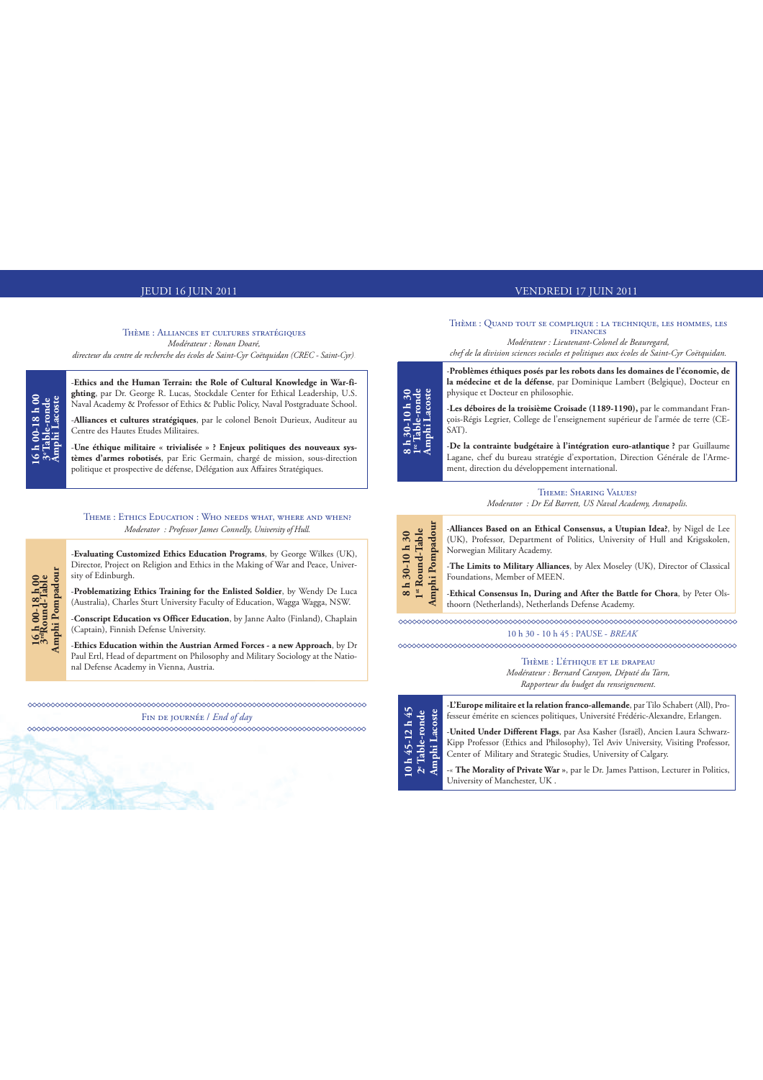### Thème : Alliances et cultures stratégiques *Modérateur : Ronan Doaré,*

*directeur du centre de recherche des écoles de Saint-Cyr Coëtquidan (CREC - Saint-Cyr)*.

-**Ethics and the Human Terrain: the Role of Cultural Knowledge in War-fighting**, par Dr. George R. Lucas, Stockdale Center for Ethical Leadership, U.S. Naval Academy & Professor of Ethics & Public Policy, Naval Postgraduate School.

-**Alliances et cultures stratégiques**, par le colonel Benoît Durieux, Auditeur au Centre des Hautes Etudes Militaires.

**16 h 00-18 h 00 3e Table-ronde Amphi Lacoste**

16 h 00-18 h 00<br>3°Table-ronde<br>Amphi Lacoste

**16 h 00-18 h 00 3rdRound-Table Amphi Pompadour**

 $\begin{array}{c} 16\, \text{h}\, 00\text{-}18\, \text{h}\, 00 \\ 3^\text{u}\text{Round} \text{-} \text{Table} \\ \text{Amphi} \text{1} \text{Pompadour} \end{array}$ 

-**Une éthique militaire « trivialisée » ? Enjeux politiques des nouveaux systèmes d'armes robotisés**, par Eric Germain, chargé de mission, sous-direction politique et prospective de défense, Délégation aux Affaires Stratégiques.

### Theme : Ethics Education : Who needs what, where and when? *Moderator : Professor James Connelly, University of Hull.*

-**Evaluating Customized Ethics Education Programs**, by George Wilkes (UK), Director, Project on Religion and Ethics in the Making of War and Peace, University of Edinburgh.

-**Problematizing Ethics Training for the Enlisted Soldier**, by Wendy De Luca (Australia), Charles Sturt University Faculty of Education, Wagga Wagga, NSW.

-**Conscript Education vs Officer Education**, by Janne Aalto (Finland), Chaplain (Captain), Finnish Defense University.

-**Ethics Education within the Austrian Armed Forces - a new Approach**, by Dr Paul Ertl, Head of department on Philosophy and Military Sociology at the National Defense Academy in Vienna, Austria.

Fin de journée / *End of day*

## JEUDI 16 JUIN 2011 VENDREDI 17 JUIN 2011

Thème : Quand tout se complique : la technique, les hommes, les finances

*Modérateur : Lieutenant-Colonel de Beauregard, chef de la division sciences sociales et politiques aux écoles de Saint-Cyr Coëtquidan.*



-**Problèmes éthiques posés par les robots dans les domaines de l'économie, de la médecine et de la défense**, par Dominique Lambert (Belgique), Docteur en physique et Docteur en philosophie.

-**Les déboires de la troisième Croisade (1189-1190),** par le commandant François-Régis Legrier, College de l'enseignement supérieur de l'armée de terre (CE-SAT).

-**De la contrainte budgétaire à l'intégration euro-atlantique ?** par Guillaume Lagane, chef du bureau stratégie d'exportation, Direction Générale de l'Armement, direction du développement international.

> THEME: SHARING VALUES? *Moderator : Dr Ed Barrett, US Naval Academy, Annapolis.*



-**Alliances Based on an Ethical Consensus, a Utupian Idea?**, by Nigel de Lee (UK), Professor, Department of Politics, University of Hull and Krigsskolen, Norwegian Military Academy.

-**The Limits to Military Alliances**, by Alex Moseley (UK), Director of Classical Foundations, Member of MEEN.

-**Ethical Consensus In, During and After the Battle for Chora**, by Peter Olsthoorn (Netherlands), Netherlands Defense Academy.

10 h 30 - 10 h 45 : PAUSE - *BREAK*

Thème : L'éthique et le drapeau *Modérateur : Bernard Carayon, Député du Tarn, Rapporteur du budget du renseignement.*

| 45<br>ste                            | -L'Europe militaire et la relation franco-allemande, par Tilo Schabert (All), Pro-<br>fesseur émérite en sciences politiques, Université Frédéric-Alexandre, Erlangen.                                                                |
|--------------------------------------|---------------------------------------------------------------------------------------------------------------------------------------------------------------------------------------------------------------------------------------|
| aco<br>⋴<br>$-12$<br>45              | -United Under Different Flags, par Asa Kasher (Israël), Ancien Laura Schwarz-<br>Kipp Professor (Ethics and Philosophy), Tel Aviv University, Visiting Professor,<br>Center of Military and Strategic Studies, University of Calgary. |
| $10~\mathrm{h}$ 4:<br>2° Tab<br>Amph | -« The Morality of Private War », par le Dr. James Pattison, Lecturer in Politics,<br>University of Manchester, UK.                                                                                                                   |